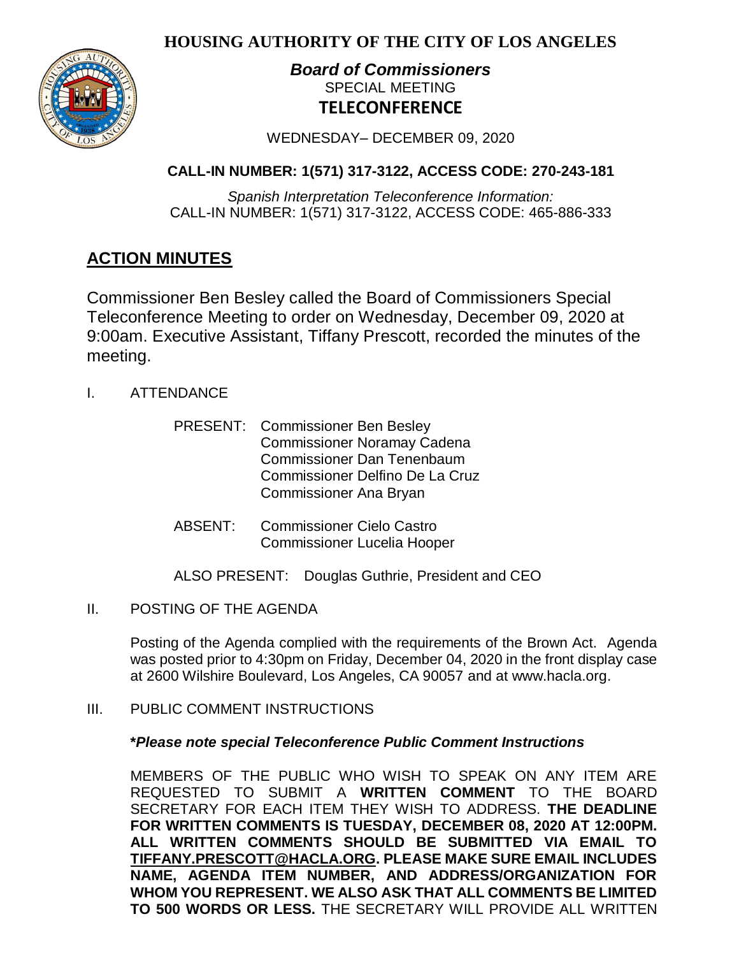**HOUSING AUTHORITY OF THE CITY OF LOS ANGELES**



# *Board of Commissioners* SPECIAL MEETING **TELECONFERENCE**

WEDNESDAY– DECEMBER 09, 2020

## **CALL-IN NUMBER: 1(571) 317-3122, ACCESS CODE: 270-243-181**

*Spanish Interpretation Teleconference Information:* CALL-IN NUMBER: 1(571) 317-3122, ACCESS CODE: 465-886-333

# **ACTION MINUTES**

Commissioner Ben Besley called the Board of Commissioners Special Teleconference Meeting to order on Wednesday, December 09, 2020 at 9:00am. Executive Assistant, Tiffany Prescott, recorded the minutes of the meeting.

- I. ATTENDANCE
	- PRESENT: Commissioner Ben Besley Commissioner Noramay Cadena Commissioner Dan Tenenbaum Commissioner Delfino De La Cruz Commissioner Ana Bryan
	- ABSENT: Commissioner Cielo Castro Commissioner Lucelia Hooper

ALSO PRESENT: Douglas Guthrie, President and CEO

II. POSTING OF THE AGENDA

Posting of the Agenda complied with the requirements of the Brown Act. Agenda was posted prior to 4:30pm on Friday, December 04, 2020 in the front display case at 2600 Wilshire Boulevard, Los Angeles, CA 90057 and at [www.hacla.org.](http://www.hacla.org/)

III. PUBLIC COMMENT INSTRUCTIONS

## **\****Please note special Teleconference Public Comment Instructions*

MEMBERS OF THE PUBLIC WHO WISH TO SPEAK ON ANY ITEM ARE REQUESTED TO SUBMIT A **WRITTEN COMMENT** TO THE BOARD SECRETARY FOR EACH ITEM THEY WISH TO ADDRESS. **THE DEADLINE FOR WRITTEN COMMENTS IS TUESDAY, DECEMBER 08, 2020 AT 12:00PM. ALL WRITTEN COMMENTS SHOULD BE SUBMITTED VIA EMAIL TO [TIFFANY.PRESCOTT@HACLA.ORG.](mailto:TIFFANY.PRESCOTT@HACLA.ORG) PLEASE MAKE SURE EMAIL INCLUDES NAME, AGENDA ITEM NUMBER, AND ADDRESS/ORGANIZATION FOR WHOM YOU REPRESENT. WE ALSO ASK THAT ALL COMMENTS BE LIMITED TO 500 WORDS OR LESS.** THE SECRETARY WILL PROVIDE ALL WRITTEN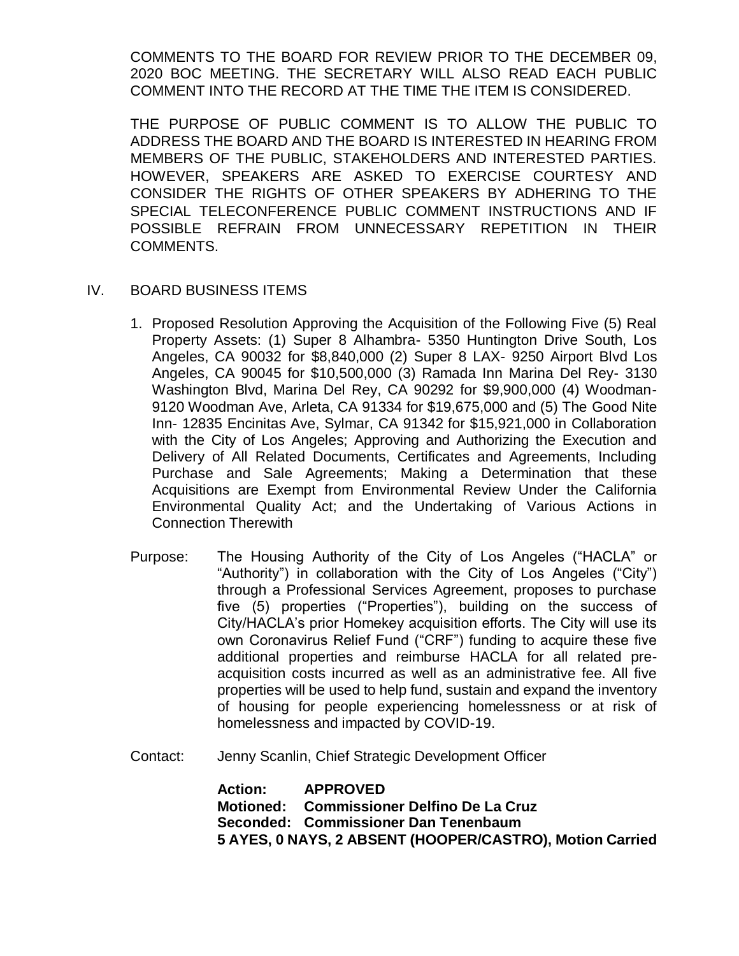COMMENTS TO THE BOARD FOR REVIEW PRIOR TO THE DECEMBER 09, 2020 BOC MEETING. THE SECRETARY WILL ALSO READ EACH PUBLIC COMMENT INTO THE RECORD AT THE TIME THE ITEM IS CONSIDERED.

THE PURPOSE OF PUBLIC COMMENT IS TO ALLOW THE PUBLIC TO ADDRESS THE BOARD AND THE BOARD IS INTERESTED IN HEARING FROM MEMBERS OF THE PUBLIC, STAKEHOLDERS AND INTERESTED PARTIES. HOWEVER, SPEAKERS ARE ASKED TO EXERCISE COURTESY AND CONSIDER THE RIGHTS OF OTHER SPEAKERS BY ADHERING TO THE SPECIAL TELECONFERENCE PUBLIC COMMENT INSTRUCTIONS AND IF POSSIBLE REFRAIN FROM UNNECESSARY REPETITION IN THEIR COMMENTS.

#### IV. BOARD BUSINESS ITEMS

- 1. Proposed Resolution Approving the Acquisition of the Following Five (5) Real Property Assets: (1) Super 8 Alhambra- 5350 Huntington Drive South, Los Angeles, CA 90032 for \$8,840,000 (2) Super 8 LAX- 9250 Airport Blvd Los Angeles, CA 90045 for \$10,500,000 (3) Ramada Inn Marina Del Rey- 3130 Washington Blvd, Marina Del Rey, CA 90292 for \$9,900,000 (4) Woodman-9120 Woodman Ave, Arleta, CA 91334 for \$19,675,000 and (5) The Good Nite Inn- 12835 Encinitas Ave, Sylmar, CA 91342 for \$15,921,000 in Collaboration with the City of Los Angeles; Approving and Authorizing the Execution and Delivery of All Related Documents, Certificates and Agreements, Including Purchase and Sale Agreements; Making a Determination that these Acquisitions are Exempt from Environmental Review Under the California Environmental Quality Act; and the Undertaking of Various Actions in Connection Therewith
- Purpose: The Housing Authority of the City of Los Angeles ("HACLA" or "Authority") in collaboration with the City of Los Angeles ("City") through a Professional Services Agreement, proposes to purchase five (5) properties ("Properties"), building on the success of City/HACLA's prior Homekey acquisition efforts. The City will use its own Coronavirus Relief Fund ("CRF") funding to acquire these five additional properties and reimburse HACLA for all related preacquisition costs incurred as well as an administrative fee. All five properties will be used to help fund, sustain and expand the inventory of housing for people experiencing homelessness or at risk of homelessness and impacted by COVID-19.

Contact: Jenny Scanlin, Chief Strategic Development Officer

**Action: APPROVED Motioned: Commissioner Delfino De La Cruz Seconded: Commissioner Dan Tenenbaum 5 AYES, 0 NAYS, 2 ABSENT (HOOPER/CASTRO), Motion Carried**